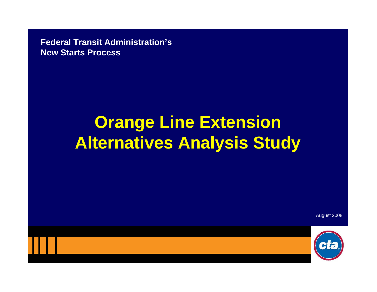**Federal Transit Administration's New Starts Process**

# **Orange Line Extension Alternatives Analysis Study**

August 2008

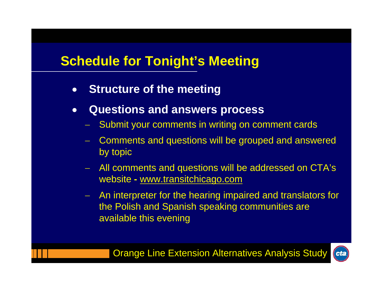# **Schedule for Tonight's Meeting**

- **Structure of the meeting**
- • **Questions and answers process**
	- Submit your comments in writing on comment cards
	- Comments and questions will be grouped and answered by topic
	- All comments and questions will be addressed on CTA's website **-** www.transitchicago.com
	- An interpreter for the hearing impaired and translators for the Polish and Spanish speaking communities are available this evening

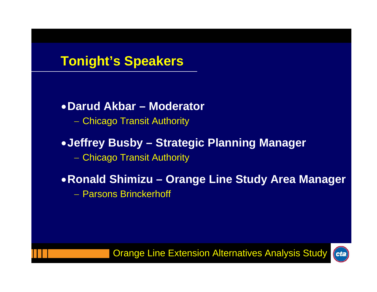# **Tonight's Speakers**

### •**Darud Akbar – Moderator**

– Chicago Transit Authority

### •**Jeffrey Busby – Strategic Planning Manager**

– Chicago Transit Authority

### •**Ronald Shimizu – Orange Line Study Area Manager**

− Parsons Brinckerhoff

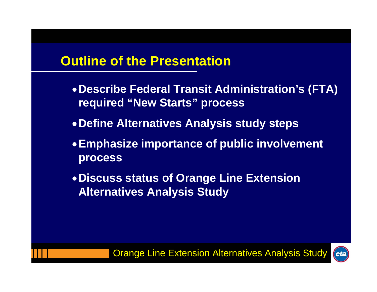## **Outline of the Presentation**

- •**Describe Federal Transit Administration's (FTA) required "New Starts" process**
- •**Define Alternatives Analysis study steps**
- •**Emphasize importance of public involvement process**
- •**Discuss status of Orange Line Extension Alternatives Analysis Study**

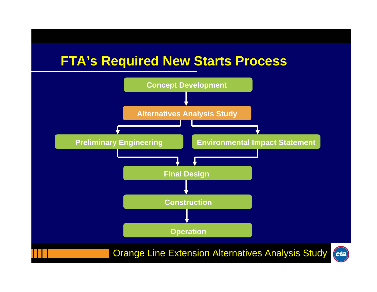### **FTA's Required New Starts Process**

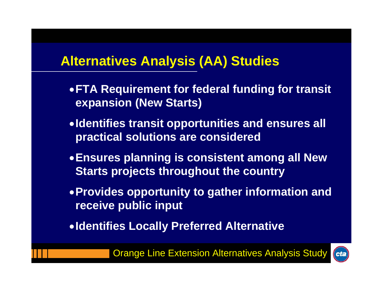# **Alternatives Analysis (AA) Studies**

- •**FTA Requirement for federal funding for transit expansion (New Starts)**
- •**Identifies transit opportunities and ensures all practical solutions are considered**
- •**Ensures planning is consistent among all New Starts projects throughout the country**
- •**Provides opportunity to gather information and receive public input**
- •**Identifies Locally Preferred Alternative**

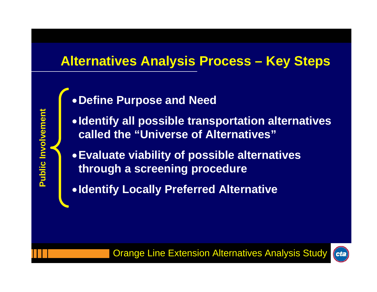# **Alternatives Analysis Process – Key Steps**

•**Define Purpose and Need** 

**Public Involvement Public Involvement**

- •**Identify all possible transportation alternatives called the "Universe of Alternatives"**
- •**Evaluate viability of possible alternatives through a screening procedure**
- •**Identify Locally Preferred Alternative**

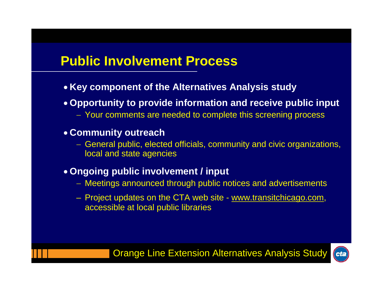# **Public Involvement Process**

- **Key component of the Alternatives Analysis study**
- **Opportunity to provide information and receive public input**
	- − Your comments are needed to complete this screening process
- **Community outreach**
	- General public, elected officials, community and civic organizations, local and state agencies
- **Ongoing public involvement / input**
	- − Meetings announced through public notices and advertisements
	- Project updates on the CTA web site www.transitchicago.com, accessible at local public libraries

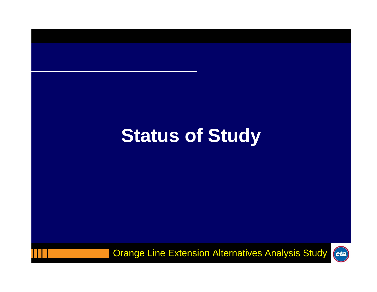# **Status of Study**

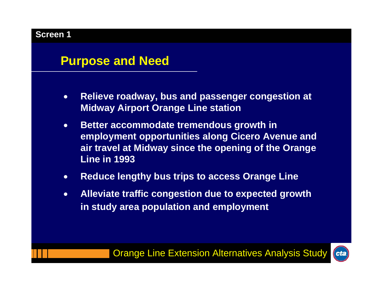### **Purpose and Need**

- $\bullet$  **Relieve roadway, bus and passenger congestion at Midway Airport Orange Line station**
- $\bullet$  **Better accommodate tremendous growth in employment opportunities along Cicero Avenue and air travel at Midway since the opening of the Orange Line in 1993**
- $\bullet$ **Reduce lengthy bus trips to access Orange Line**
- $\bullet$  **Alleviate traffic congestion due to expected growth in study area population and employment**

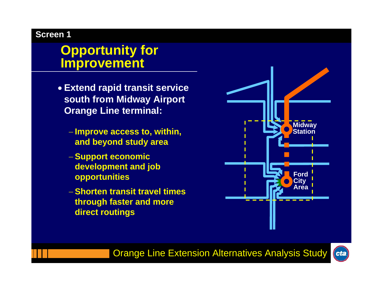### **Opportunity for Improvement**

- **Extend rapid transit service south from Midway Airport Orange Line terminal:** 
	- − **Improve access to, within, and beyond study area**
	- − **Support economic development and job opportunities**
	- − **Shorten transit travel times through faster and more direct routings**



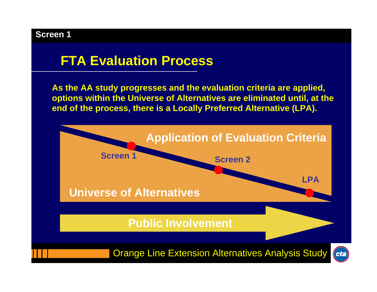# **FTA Evaluation Process**

**As the AA study progresses and the evaluation criteria are applied, options within the Universe of Alternatives are eliminated until, at the end of the process, there is a Locally Preferred Alternative (LPA).**

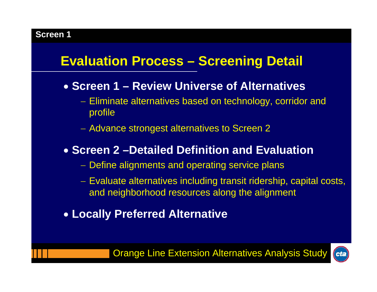# **Evaluation Process – Screening Detail**

- **Screen 1 – Review Universe of Alternatives**
	- Eliminate alternatives based on technology, corridor and profile
	- Advance strongest alternatives to Screen 2

### • **Screen 2 –Detailed Definition and Evaluation**

- Define alignments and operating service plans
- Evaluate alternatives including transit ridership, capital costs, and neighborhood resources along the alignment
- **Locally Preferred Alternative**

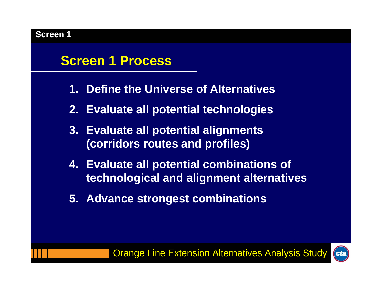# **Screen 1 Process**

- **1. Define the Universe of Alternatives**
- **2. Evaluate all potential technologies**
- **3. Evaluate all potential alignments (corridors routes and profiles)**
- **4. Evaluate all potential combinations of technological and alignment alternatives**
- **5. Advance strongest combinations**

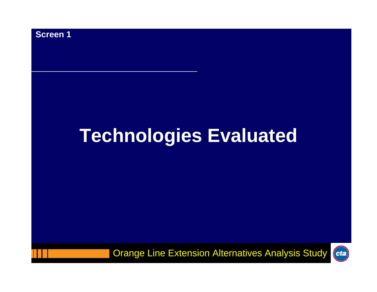

# **Technologies Evaluated**

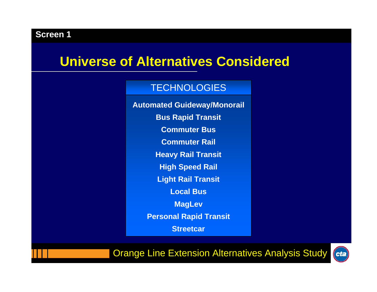### **Universe of Alternatives Considered**

#### TECHNOLOGIES

**Automated Guideway/Monorail Bus Rapid Transit Commuter BusCommuter Rail Heavy Rail Transit High Speed Rail Light Rail Transit Local BusMagLev Personal Rapid Transit Streetcar**

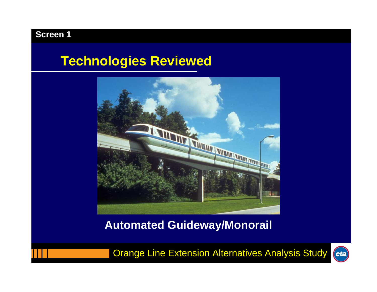### **Technologies Reviewed**



### **Automated Guideway/Monorail**

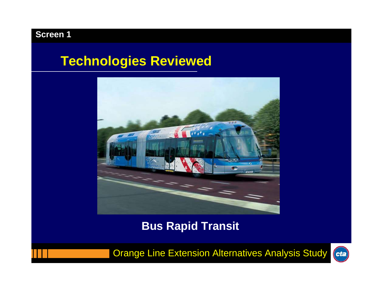### **Technologies Reviewed**



**Bus Rapid Transit**

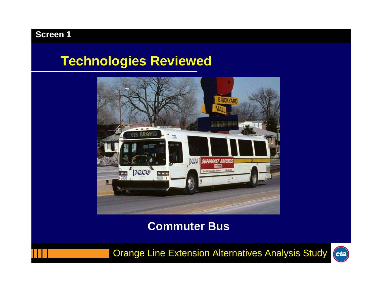## **Technologies Reviewed**



### **Commuter Bus**

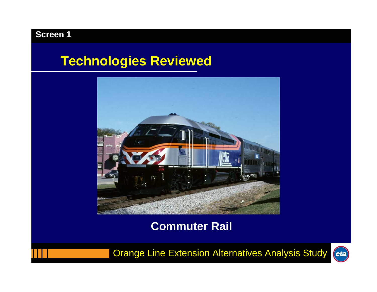## **Technologies Reviewed**



### **Commuter Rail**

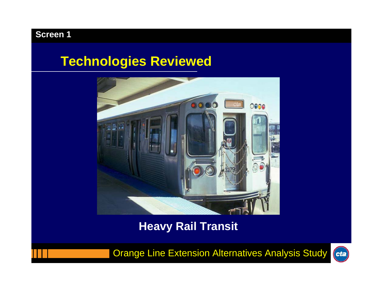## **Technologies Reviewed**



### **Heavy Rail Transit**

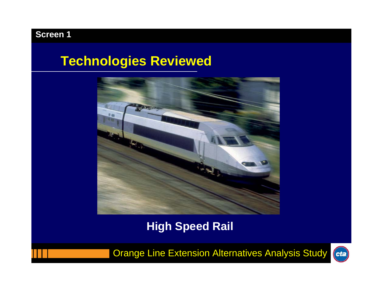# **Technologies Reviewed**



**High Speed Rail**

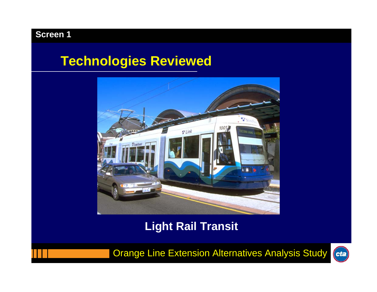## **Technologies Reviewed**



### **Light Rail Transit**

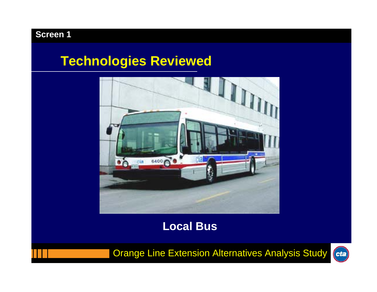## **Technologies Reviewed**



### **Local Bus**

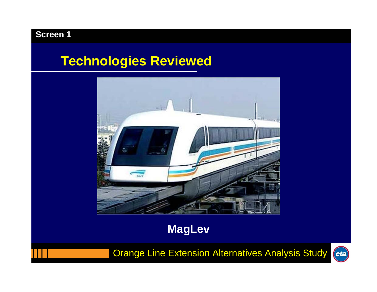# **Technologies Reviewed**



**MagLev**

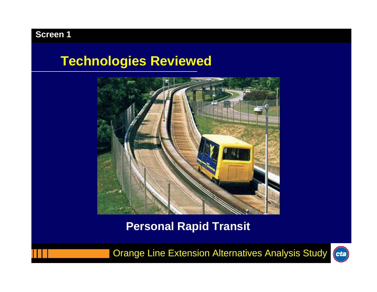### **Technologies Reviewed**



### **Personal Rapid Transit**